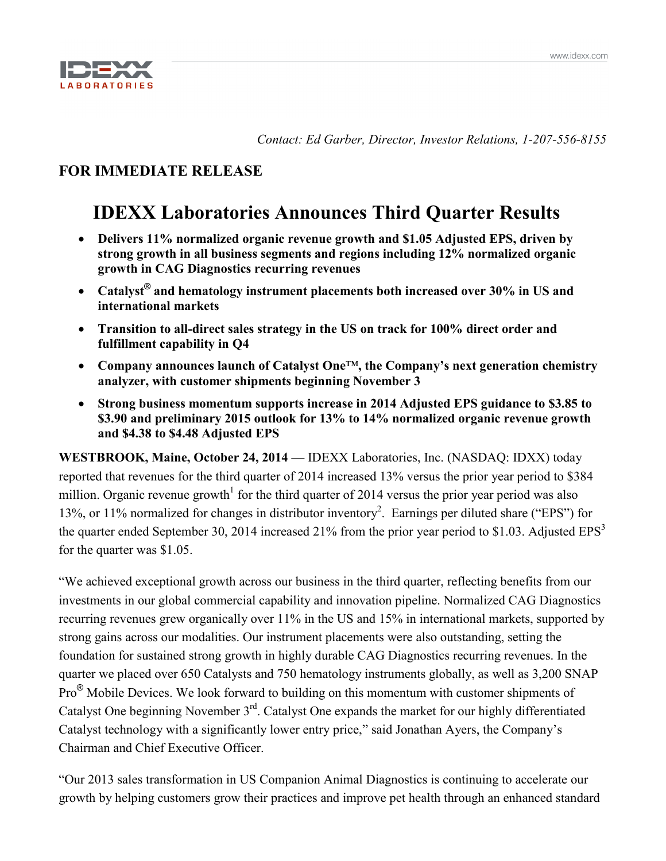

*Contact: Ed Garber, Director, Investor Relations, 1-207-556-8155*

# **FOR IMMEDIATE RELEASE**

# **IDEXX Laboratories Announces Third Quarter Results**

- **Delivers 11% normalized organic revenue growth and \$1.05 Adjusted EPS, driven by strong growth in all business segments and regions including 12% normalized organic growth in CAG Diagnostics recurring revenues**
- **Catalyst® and hematology instrument placements both increased over 30% in US and international markets**
- **Transition to all-direct sales strategy in the US on track for 100% direct order and fulfillment capability in Q4**
- **Company announces launch of Catalyst One**™**, the Company's next generation chemistry analyzer, with customer shipments beginning November 3**
- **Strong business momentum supports increase in 2014 Adjusted EPS guidance to \$3.85 to \$3.90 and preliminary 2015 outlook for 13% to 14% normalized organic revenue growth and \$4.38 to \$4.48 Adjusted EPS**

**WESTBROOK, Maine, October 24, 2014** — IDEXX Laboratories, Inc. (NASDAQ: IDXX) today reported that revenues for the third quarter of 2014 increased 13% versus the prior year period to \$384 million. Organic revenue growth<sup>1</sup> for the third quarter of 2014 versus the prior year period was also 13%, or 11% normalized for changes in distributor inventory<sup>2</sup>. Earnings per diluted share ("EPS") for the quarter ended September 30, 2014 increased 21% from the prior year period to \$1.03. Adjusted  $EPS<sup>3</sup>$ for the quarter was \$1.05.

"We achieved exceptional growth across our business in the third quarter, reflecting benefits from our investments in our global commercial capability and innovation pipeline. Normalized CAG Diagnostics recurring revenues grew organically over 11% in the US and 15% in international markets, supported by strong gains across our modalities. Our instrument placements were also outstanding, setting the foundation for sustained strong growth in highly durable CAG Diagnostics recurring revenues. In the quarter we placed over 650 Catalysts and 750 hematology instruments globally, as well as 3,200 SNAP Pro® Mobile Devices. We look forward to building on this momentum with customer shipments of Catalyst One beginning November 3rd. Catalyst One expands the market for our highly differentiated Catalyst technology with a significantly lower entry price," said Jonathan Ayers, the Company's Chairman and Chief Executive Officer.

"Our 2013 sales transformation in US Companion Animal Diagnostics is continuing to accelerate our growth by helping customers grow their practices and improve pet health through an enhanced standard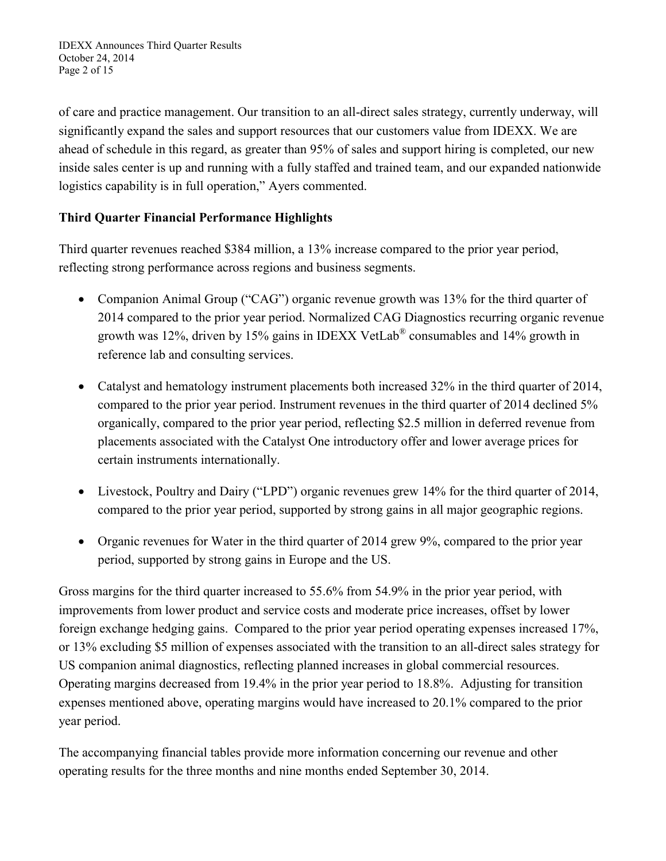of care and practice management. Our transition to an all-direct sales strategy, currently underway, will significantly expand the sales and support resources that our customers value from IDEXX. We are ahead of schedule in this regard, as greater than 95% of sales and support hiring is completed, our new inside sales center is up and running with a fully staffed and trained team, and our expanded nationwide logistics capability is in full operation," Ayers commented.

# **Third Quarter Financial Performance Highlights**

Third quarter revenues reached \$384 million, a 13% increase compared to the prior year period, reflecting strong performance across regions and business segments.

- Companion Animal Group ("CAG") organic revenue growth was 13% for the third quarter of 2014 compared to the prior year period. Normalized CAG Diagnostics recurring organic revenue growth was 12%, driven by 15% gains in IDEXX VetLab® consumables and 14% growth in reference lab and consulting services.
- Catalyst and hematology instrument placements both increased 32% in the third quarter of 2014, compared to the prior year period. Instrument revenues in the third quarter of 2014 declined 5% organically, compared to the prior year period, reflecting \$2.5 million in deferred revenue from placements associated with the Catalyst One introductory offer and lower average prices for certain instruments internationally.
- Livestock, Poultry and Dairy ("LPD") organic revenues grew 14% for the third quarter of 2014, compared to the prior year period, supported by strong gains in all major geographic regions.
- Organic revenues for Water in the third quarter of 2014 grew 9%, compared to the prior year period, supported by strong gains in Europe and the US.

Gross margins for the third quarter increased to 55.6% from 54.9% in the prior year period, with improvements from lower product and service costs and moderate price increases, offset by lower foreign exchange hedging gains. Compared to the prior year period operating expenses increased 17%, or 13% excluding \$5 million of expenses associated with the transition to an all-direct sales strategy for US companion animal diagnostics, reflecting planned increases in global commercial resources. Operating margins decreased from 19.4% in the prior year period to 18.8%. Adjusting for transition expenses mentioned above, operating margins would have increased to 20.1% compared to the prior year period.

The accompanying financial tables provide more information concerning our revenue and other operating results for the three months and nine months ended September 30, 2014.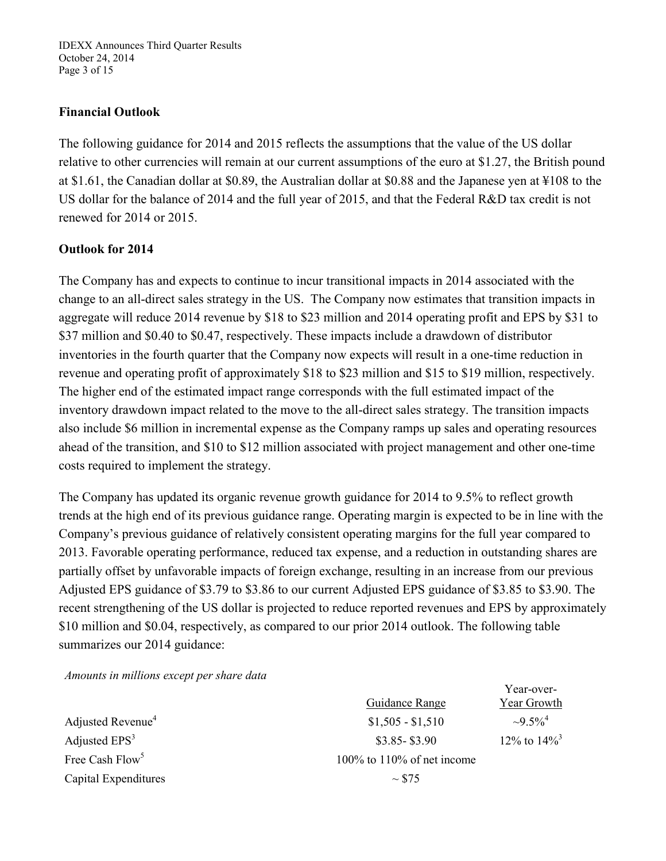IDEXX Announces Third Quarter Results October 24, 2014 Page 3 of 15

# **Financial Outlook**

The following guidance for 2014 and 2015 reflects the assumptions that the value of the US dollar relative to other currencies will remain at our current assumptions of the euro at \$1.27, the British pound at \$1.61, the Canadian dollar at \$0.89, the Australian dollar at \$0.88 and the Japanese yen at ¥108 to the US dollar for the balance of 2014 and the full year of 2015, and that the Federal R&D tax credit is not renewed for 2014 or 2015.

### **Outlook for 2014**

The Company has and expects to continue to incur transitional impacts in 2014 associated with the change to an all-direct sales strategy in the US. The Company now estimates that transition impacts in aggregate will reduce 2014 revenue by \$18 to \$23 million and 2014 operating profit and EPS by \$31 to \$37 million and \$0.40 to \$0.47, respectively. These impacts include a drawdown of distributor inventories in the fourth quarter that the Company now expects will result in a one-time reduction in revenue and operating profit of approximately \$18 to \$23 million and \$15 to \$19 million, respectively. The higher end of the estimated impact range corresponds with the full estimated impact of the inventory drawdown impact related to the move to the all-direct sales strategy. The transition impacts also include \$6 million in incremental expense as the Company ramps up sales and operating resources ahead of the transition, and \$10 to \$12 million associated with project management and other one-time costs required to implement the strategy.

The Company has updated its organic revenue growth guidance for 2014 to 9.5% to reflect growth trends at the high end of its previous guidance range. Operating margin is expected to be in line with the Company's previous guidance of relatively consistent operating margins for the full year compared to 2013. Favorable operating performance, reduced tax expense, and a reduction in outstanding shares are partially offset by unfavorable impacts of foreign exchange, resulting in an increase from our previous Adjusted EPS guidance of \$3.79 to \$3.86 to our current Adjusted EPS guidance of \$3.85 to \$3.90. The recent strengthening of the US dollar is projected to reduce reported revenues and EPS by approximately \$10 million and \$0.04, respectively, as compared to our prior 2014 outlook. The following table summarizes our 2014 guidance:

*Amounts in millions except per share data*

|                               |                                  | Year-over-                 |
|-------------------------------|----------------------------------|----------------------------|
|                               | Guidance Range                   | Year Growth                |
| Adjusted Revenue <sup>4</sup> | $$1,505 - $1,510$                | $\sim 9.5\%^{4}$           |
| Adjusted $EPS3$               | $$3.85 - $3.90$                  | 12% to $14\%$ <sup>3</sup> |
| Free Cash Flow <sup>5</sup>   | $100\%$ to $110\%$ of net income |                            |
| Capital Expenditures          | $\sim$ \$75                      |                            |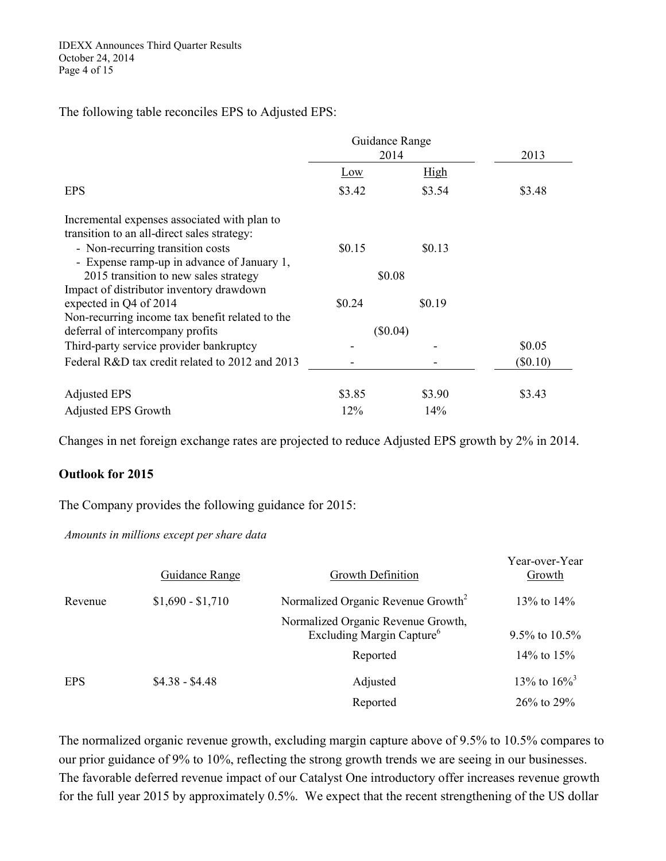### The following table reconciles EPS to Adjusted EPS:

|                                                                                                                                 | Guidance Range<br>2014 |             | 2013       |
|---------------------------------------------------------------------------------------------------------------------------------|------------------------|-------------|------------|
|                                                                                                                                 | Low                    | <u>High</u> |            |
| <b>EPS</b>                                                                                                                      | \$3.42                 | \$3.54      | \$3.48     |
| Incremental expenses associated with plan to<br>transition to an all-direct sales strategy:                                     |                        |             |            |
| - Non-recurring transition costs                                                                                                | \$0.15                 | \$0.13      |            |
| - Expense ramp-up in advance of January 1,<br>2015 transition to new sales strategy<br>Impact of distributor inventory drawdown | \$0.08                 |             |            |
| expected in Q4 of 2014                                                                                                          | \$0.24                 | \$0.19      |            |
| Non-recurring income tax benefit related to the<br>deferral of intercompany profits                                             | $(\$0.04)$             |             |            |
| Third-party service provider bankruptcy                                                                                         |                        |             | \$0.05     |
| Federal R&D tax credit related to 2012 and 2013                                                                                 |                        |             | $(\$0.10)$ |
| <b>Adjusted EPS</b>                                                                                                             | \$3.85                 | \$3.90      | \$3.43     |
| <b>Adjusted EPS Growth</b>                                                                                                      | 12%                    | 14%         |            |

Changes in net foreign exchange rates are projected to reduce Adjusted EPS growth by 2% in 2014.

### **Outlook for 2015**

The Company provides the following guidance for 2015:

*Amounts in millions except per share data*

|            | Guidance Range    | Growth Definition                                                           | Year-over-Year<br>Growth                  |
|------------|-------------------|-----------------------------------------------------------------------------|-------------------------------------------|
| Revenue    | $$1,690 - $1,710$ | Normalized Organic Revenue Growth <sup>2</sup>                              | 13\% to 14\%                              |
|            |                   | Normalized Organic Revenue Growth,<br>Excluding Margin Capture <sup>6</sup> | 9.5% to $10.5\%$                          |
|            |                   | Reported                                                                    | 14\% to $15\%$                            |
| <b>EPS</b> | $$4.38 - $4.48$   | Adjusted<br>Reported                                                        | 13\% to $16\%$ <sup>3</sup><br>26% to 29% |

The normalized organic revenue growth, excluding margin capture above of 9.5% to 10.5% compares to our prior guidance of 9% to 10%, reflecting the strong growth trends we are seeing in our businesses. The favorable deferred revenue impact of our Catalyst One introductory offer increases revenue growth for the full year 2015 by approximately 0.5%. We expect that the recent strengthening of the US dollar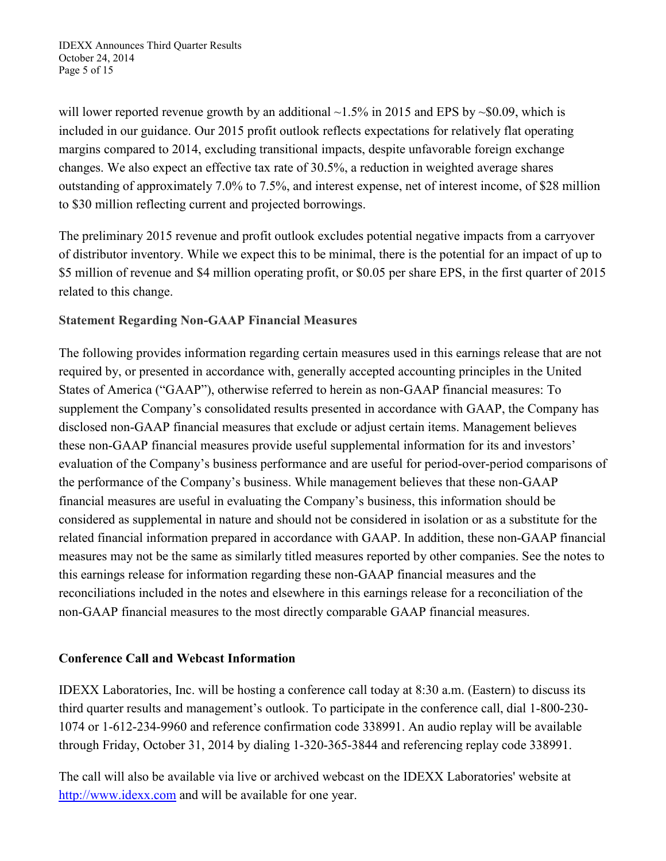IDEXX Announces Third Quarter Results October 24, 2014 Page 5 of 15

will lower reported revenue growth by an additional  $\sim$ 1.5% in 2015 and EPS by  $\sim$ \$0.09, which is included in our guidance. Our 2015 profit outlook reflects expectations for relatively flat operating margins compared to 2014, excluding transitional impacts, despite unfavorable foreign exchange changes. We also expect an effective tax rate of 30.5%, a reduction in weighted average shares outstanding of approximately 7.0% to 7.5%, and interest expense, net of interest income, of \$28 million to \$30 million reflecting current and projected borrowings.

The preliminary 2015 revenue and profit outlook excludes potential negative impacts from a carryover of distributor inventory. While we expect this to be minimal, there is the potential for an impact of up to \$5 million of revenue and \$4 million operating profit, or \$0.05 per share EPS, in the first quarter of 2015 related to this change.

# **Statement Regarding Non-GAAP Financial Measures**

The following provides information regarding certain measures used in this earnings release that are not required by, or presented in accordance with, generally accepted accounting principles in the United States of America ("GAAP"), otherwise referred to herein as non-GAAP financial measures: To supplement the Company's consolidated results presented in accordance with GAAP, the Company has disclosed non-GAAP financial measures that exclude or adjust certain items. Management believes these non-GAAP financial measures provide useful supplemental information for its and investors' evaluation of the Company's business performance and are useful for period-over-period comparisons of the performance of the Company's business. While management believes that these non-GAAP financial measures are useful in evaluating the Company's business, this information should be considered as supplemental in nature and should not be considered in isolation or as a substitute for the related financial information prepared in accordance with GAAP. In addition, these non-GAAP financial measures may not be the same as similarly titled measures reported by other companies. See the notes to this earnings release for information regarding these non-GAAP financial measures and the reconciliations included in the notes and elsewhere in this earnings release for a reconciliation of the non-GAAP financial measures to the most directly comparable GAAP financial measures.

# **Conference Call and Webcast Information**

IDEXX Laboratories, Inc. will be hosting a conference call today at 8:30 a.m. (Eastern) to discuss its third quarter results and management's outlook. To participate in the conference call, dial 1-800-230- 1074 or 1-612-234-9960 and reference confirmation code 338991. An audio replay will be available through Friday, October 31, 2014 by dialing 1-320-365-3844 and referencing replay code 338991.

The call will also be available via live or archived webcast on the IDEXX Laboratories' website at [http://www.idexx.com](http://www.idexx.com/) and will be available for one year.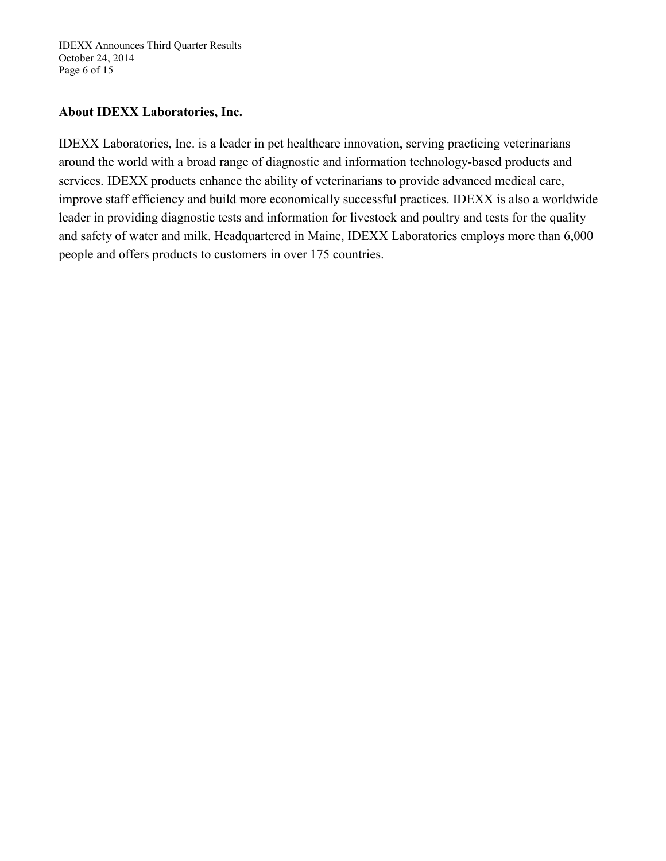IDEXX Announces Third Quarter Results October 24, 2014 Page 6 of 15

# **About IDEXX Laboratories, Inc.**

IDEXX Laboratories, Inc. is a leader in pet healthcare innovation, serving practicing veterinarians around the world with a broad range of diagnostic and information technology-based products and services. IDEXX products enhance the ability of veterinarians to provide advanced medical care, improve staff efficiency and build more economically successful practices. IDEXX is also a worldwide leader in providing diagnostic tests and information for livestock and poultry and tests for the quality and safety of water and milk. Headquartered in Maine, IDEXX Laboratories employs more than 6,000 people and offers products to customers in over 175 countries.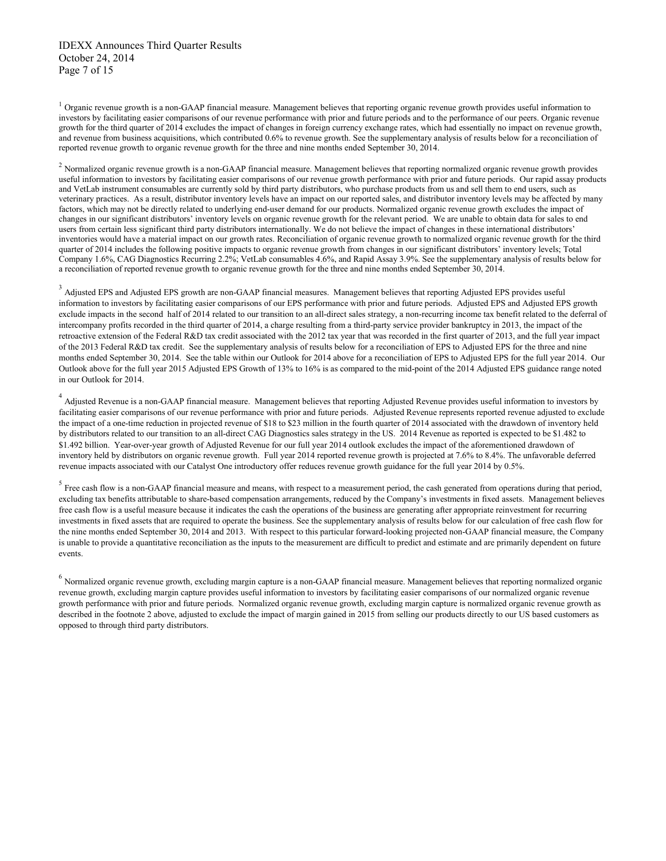$<sup>1</sup>$  Organic revenue growth is a non-GAAP financial measure. Management believes that reporting organic revenue growth provides useful information to</sup> investors by facilitating easier comparisons of our revenue performance with prior and future periods and to the performance of our peers. Organic revenue growth for the third quarter of 2014 excludes the impact of changes in foreign currency exchange rates, which had essentially no impact on revenue growth, and revenue from business acquisitions, which contributed 0.6% to revenue growth. See the supplementary analysis of results below for a reconciliation of reported revenue growth to organic revenue growth for the three and nine months ended September 30, 2014.

<sup>2</sup> Normalized organic revenue growth is a non-GAAP financial measure. Management believes that reporting normalized organic revenue growth provides useful information to investors by facilitating easier comparisons of our revenue growth performance with prior and future periods. Our rapid assay products and VetLab instrument consumables are currently sold by third party distributors, who purchase products from us and sell them to end users, such as veterinary practices. As a result, distributor inventory levels have an impact on our reported sales, and distributor inventory levels may be affected by many factors, which may not be directly related to underlying end-user demand for our products. Normalized organic revenue growth excludes the impact of changes in our significant distributors' inventory levels on organic revenue growth for the relevant period. We are unable to obtain data for sales to end users from certain less significant third party distributors internationally. We do not believe the impact of changes in these international distributors' inventories would have a material impact on our growth rates. Reconciliation of organic revenue growth to normalized organic revenue growth for the third quarter of 2014 includes the following positive impacts to organic revenue growth from changes in our significant distributors' inventory levels; Total Company 1.6%, CAG Diagnostics Recurring 2.2%; VetLab consumables 4.6%, and Rapid Assay 3.9%. See the supplementary analysis of results below for a reconciliation of reported revenue growth to organic revenue growth for the three and nine months ended September 30, 2014.

<sup>3</sup> Adjusted EPS and Adjusted EPS growth are non-GAAP financial measures. Management believes that reporting Adjusted EPS provides useful information to investors by facilitating easier comparisons of our EPS performance with prior and future periods. Adjusted EPS and Adjusted EPS growth exclude impacts in the second half of 2014 related to our transition to an all-direct sales strategy, a non-recurring income tax benefit related to the deferral of intercompany profits recorded in the third quarter of 2014, a charge resulting from a third-party service provider bankruptcy in 2013, the impact of the retroactive extension of the Federal R&D tax credit associated with the 2012 tax year that was recorded in the first quarter of 2013, and the full year impact of the 2013 Federal R&D tax credit. See the supplementary analysis of results below for a reconciliation of EPS to Adjusted EPS for the three and nine months ended September 30, 2014. See the table within our Outlook for 2014 above for a reconciliation of EPS to Adjusted EPS for the full year 2014. Our Outlook above for the full year 2015 Adjusted EPS Growth of 13% to 16% is as compared to the mid-point of the 2014 Adjusted EPS guidance range noted in our Outlook for 2014.

<sup>4</sup> Adjusted Revenue is a non-GAAP financial measure. Management believes that reporting Adjusted Revenue provides useful information to investors by facilitating easier comparisons of our revenue performance with prior and future periods. Adjusted Revenue represents reported revenue adjusted to exclude the impact of a one-time reduction in projected revenue of \$18 to \$23 million in the fourth quarter of 2014 associated with the drawdown of inventory held by distributors related to our transition to an all-direct CAG Diagnostics sales strategy in the US. 2014 Revenue as reported is expected to be \$1.482 to \$1.492 billion. Year-over-year growth of Adjusted Revenue for our full year 2014 outlook excludes the impact of the aforementioned drawdown of inventory held by distributors on organic revenue growth. Full year 2014 reported revenue growth is projected at 7.6% to 8.4%. The unfavorable deferred revenue impacts associated with our Catalyst One introductory offer reduces revenue growth guidance for the full year 2014 by 0.5%.

 $<sup>5</sup>$  Free cash flow is a non-GAAP financial measure and means, with respect to a measurement period, the cash generated from operations during that period,</sup> excluding tax benefits attributable to share-based compensation arrangements, reduced by the Company's investments in fixed assets. Management believes free cash flow is a useful measure because it indicates the cash the operations of the business are generating after appropriate reinvestment for recurring investments in fixed assets that are required to operate the business. See the supplementary analysis of results below for our calculation of free cash flow for the nine months ended September 30, 2014 and 2013. With respect to this particular forward-looking projected non-GAAP financial measure, the Company is unable to provide a quantitative reconciliation as the inputs to the measurement are difficult to predict and estimate and are primarily dependent on future events.

<sup>6</sup> Normalized organic revenue growth, excluding margin capture is a non-GAAP financial measure. Management believes that reporting normalized organic revenue growth, excluding margin capture provides useful information to investors by facilitating easier comparisons of our normalized organic revenue growth performance with prior and future periods. Normalized organic revenue growth, excluding margin capture is normalized organic revenue growth as described in the footnote 2 above, adjusted to exclude the impact of margin gained in 2015 from selling our products directly to our US based customers as opposed to through third party distributors.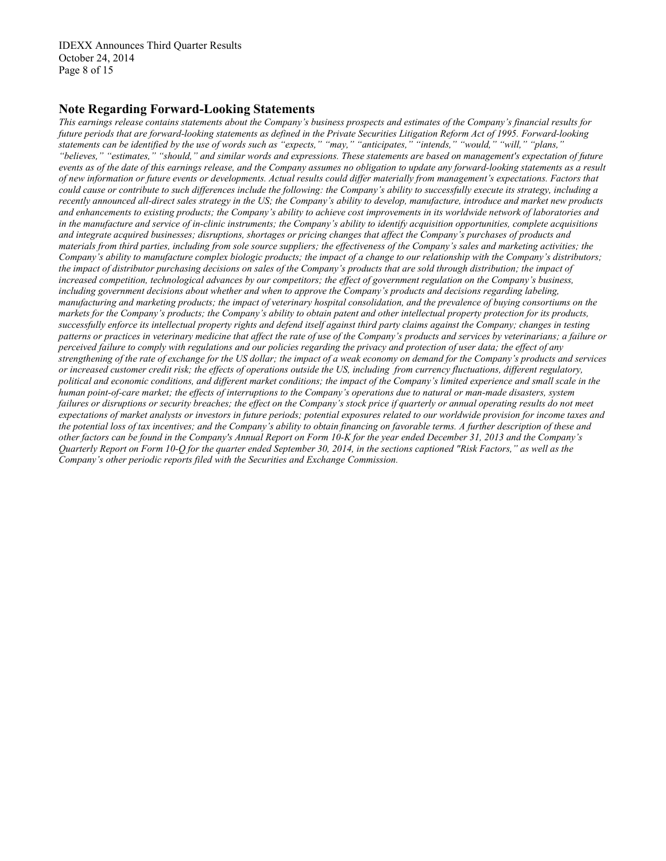IDEXX Announces Third Quarter Results October 24, 2014 Page 8 of 15

#### **Note Regarding Forward-Looking Statements**

*This earnings release contains statements about the Company's business prospects and estimates of the Company's financial results for future periods that are forward-looking statements as defined in the Private Securities Litigation Reform Act of 1995. Forward-looking statements can be identified by the use of words such as "expects," "may," "anticipates," "intends," "would," "will," "plans," "believes," "estimates," "should," and similar words and expressions. These statements are based on management's expectation of future events as of the date of this earnings release, and the Company assumes no obligation to update any forward-looking statements as a result of new information or future events or developments. Actual results could differ materially from management's expectations. Factors that could cause or contribute to such differences include the following: the Company's ability to successfully execute its strategy, including a recently announced all-direct sales strategy in the US; the Company's ability to develop, manufacture, introduce and market new products and enhancements to existing products; the Company's ability to achieve cost improvements in its worldwide network of laboratories and in the manufacture and service of in-clinic instruments; the Company's ability to identify acquisition opportunities, complete acquisitions and integrate acquired businesses; disruptions, shortages or pricing changes that affect the Company's purchases of products and materials from third parties, including from sole source suppliers; the effectiveness of the Company's sales and marketing activities; the Company's ability to manufacture complex biologic products; the impact of a change to our relationship with the Company's distributors; the impact of distributor purchasing decisions on sales of the Company's products that are sold through distribution; the impact of increased competition, technological advances by our competitors; the effect of government regulation on the Company's business, including government decisions about whether and when to approve the Company's products and decisions regarding labeling, manufacturing and marketing products; the impact of veterinary hospital consolidation, and the prevalence of buying consortiums on the markets for the Company's products; the Company's ability to obtain patent and other intellectual property protection for its products, successfully enforce its intellectual property rights and defend itself against third party claims against the Company; changes in testing patterns or practices in veterinary medicine that affect the rate of use of the Company's products and services by veterinarians; a failure or perceived failure to comply with regulations and our policies regarding the privacy and protection of user data; the effect of any strengthening of the rate of exchange for the US dollar; the impact of a weak economy on demand for the Company's products and services or increased customer credit risk; the effects of operations outside the US, including from currency fluctuations, different regulatory, political and economic conditions, and different market conditions; the impact of the Company's limited experience and small scale in the human point-of-care market; the effects of interruptions to the Company's operations due to natural or man-made disasters, system*  failures or disruptions or security breaches; the effect on the Company's stock price if quarterly or annual operating results do not meet *expectations of market analysts or investors in future periods; potential exposures related to our worldwide provision for income taxes and the potential loss of tax incentives; and the Company's ability to obtain financing on favorable terms. A further description of these and other factors can be found in the Company's Annual Report on Form 10-K for the year ended December 31, 2013 and the Company's Quarterly Report on Form 10-Q for the quarter ended September 30, 2014, in the sections captioned "Risk Factors," as well as the Company's other periodic reports filed with the Securities and Exchange Commission.*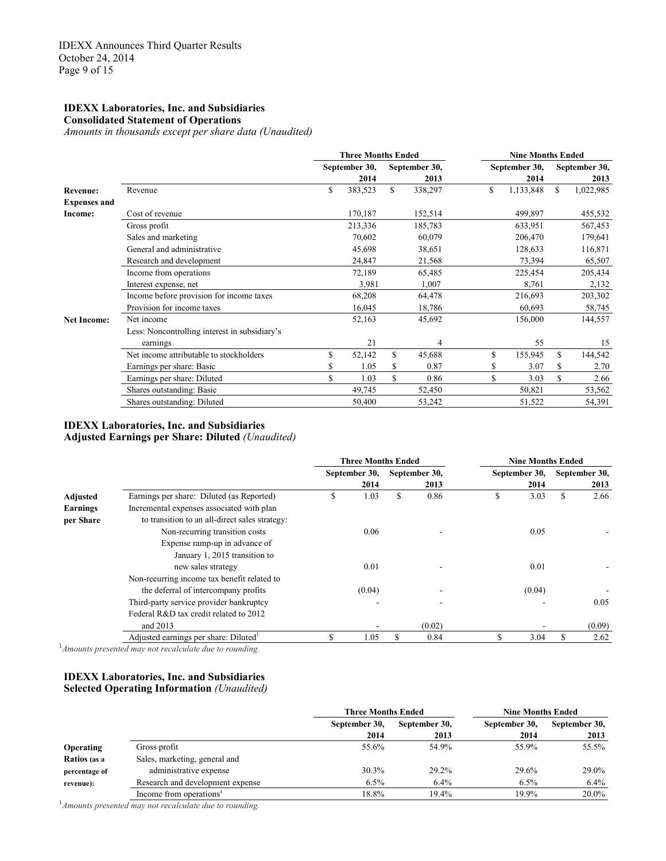#### **IDEXX Laboratories, Inc. and Subsidiaries Consolidated Statement of Operations**

*Amounts in thousands except per share data (Unaudited)*

|                     |                                               | <b>Three Months Ended</b> |    |               | <b>Nine Months Ended</b> |    |               |
|---------------------|-----------------------------------------------|---------------------------|----|---------------|--------------------------|----|---------------|
|                     |                                               | September 30,             |    | September 30, | September 30,            |    | September 30, |
|                     |                                               | 2014                      |    | 2013          | 2014                     |    | 2013          |
| <b>Revenue:</b>     | Revenue                                       | \$<br>383,523             | \$ | 338,297       | \$<br>1,133,848          | \$ | 1,022,985     |
| <b>Expenses and</b> |                                               |                           |    |               |                          |    |               |
| Income:             | Cost of revenue                               | 170,187                   |    | 152,514       | 499,897                  |    | 455,532       |
|                     | Gross profit                                  | 213,336                   |    | 185,783       | 633,951                  |    | 567,453       |
|                     | Sales and marketing                           | 70,602                    |    | 60,079        | 206,470                  |    | 179,641       |
|                     | General and administrative                    | 45,698                    |    | 38,651        | 128,633                  |    | 116,871       |
|                     | Research and development                      | 24,847                    |    | 21,568        | 73,394                   |    | 65,507        |
|                     | Income from operations                        | 72,189                    |    | 65,485        | 225,454                  |    | 205,434       |
|                     | Interest expense, net                         | 3,981                     |    | 1,007         | 8,761                    |    | 2,132         |
|                     | Income before provision for income taxes      | 68,208                    |    | 64,478        | 216,693                  |    | 203,302       |
|                     | Provision for income taxes                    | 16,045                    |    | 18,786        | 60,693                   |    | 58,745        |
| <b>Net Income:</b>  | Net income                                    | 52,163                    |    | 45,692        | 156,000                  |    | 144,557       |
|                     | Less: Noncontrolling interest in subsidiary's |                           |    |               |                          |    |               |
|                     | earnings                                      | 21                        |    | 4             | 55                       |    | 15            |
|                     | Net income attributable to stockholders       | \$<br>52,142              | \$ | 45,688        | \$<br>155,945            | S  | 144,542       |
|                     | Earnings per share: Basic                     | \$<br>1.05                |    | 0.87          | \$<br>3.07               | S  | 2.70          |
|                     | Earnings per share: Diluted                   | \$<br>1.03                | S  | 0.86          | \$<br>3.03               | S  | 2.66          |
|                     | Shares outstanding: Basic                     | 49,745                    |    | 52,450        | 50,821                   |    | 53,562        |
|                     | Shares outstanding: Diluted                   | 50,400                    |    | 53,242        | 51,522                   |    | 54,391        |

#### **IDEXX Laboratories, Inc. and Subsidiaries Adjusted Earnings per Share: Diluted** *(Unaudited)*

|                 |                                                | <b>Three Months Ended</b> |               |   | <b>Nine Months Ended</b> |               |
|-----------------|------------------------------------------------|---------------------------|---------------|---|--------------------------|---------------|
|                 |                                                | September 30,             | September 30, |   | September 30,            | September 30, |
|                 |                                                | 2014                      | 2013          |   | 2014                     | 2013          |
| Adjusted        | Earnings per share: Diluted (as Reported)      | \$<br>1.03                | \$<br>0.86    | S | 3.03                     | \$<br>2.66    |
| <b>Earnings</b> | Incremental expenses associated with plan      |                           |               |   |                          |               |
| per Share       | to transition to an all-direct sales strategy: |                           |               |   |                          |               |
|                 | Non-recurring transition costs                 | 0.06                      |               |   | 0.05                     |               |
|                 | Expense ramp-up in advance of                  |                           |               |   |                          |               |
|                 | January 1, 2015 transition to                  |                           |               |   |                          |               |
|                 | new sales strategy                             | 0.01                      |               |   | 0.01                     |               |
|                 | Non-recurring income tax benefit related to    |                           |               |   |                          |               |
|                 | the deferral of intercompany profits           | (0.04)                    |               |   | (0.04)                   |               |
|                 | Third-party service provider bankruptcy        |                           |               |   |                          | 0.05          |
|                 | Federal R&D tax credit related to 2012         |                           |               |   |                          |               |
|                 | and 2013                                       |                           | (0.02)        |   |                          | (0.09)        |
|                 | Adjusted earnings per share: Diluted           | 1.05                      | \$<br>0.84    |   | 3.04                     | \$<br>2.62    |

1 *Amounts presented may not recalculate due to rounding.* 

#### **IDEXX Laboratories, Inc. and Subsidiaries Selected Operating Information** *(Unaudited)*

|                  |                                     | <b>Three Months Ended</b> |               | <b>Nine Months Ended</b> |               |
|------------------|-------------------------------------|---------------------------|---------------|--------------------------|---------------|
|                  |                                     | September 30,             | September 30, | September 30,            | September 30, |
|                  |                                     | 2014                      | 2013          | 2014                     | 2013          |
| <b>Operating</b> | Gross profit                        | 55.6%                     | 54.9%         | 55.9%                    | 55.5%         |
| Ratios (as a     | Sales, marketing, general and       |                           |               |                          |               |
| percentage of    | administrative expense              | 30.3%                     | 29.2%         | 29.6%                    | 29.0%         |
| revenue):        | Research and development expense    | 6.5%                      | 6.4%          | 6.5%                     | 6.4%          |
|                  | Income from operations <sup>1</sup> | 18.8%                     | 19.4%         | 19.9%                    | $20.0\%$      |

<sup>1</sup> Amounts presented may not recalculate due to rounding.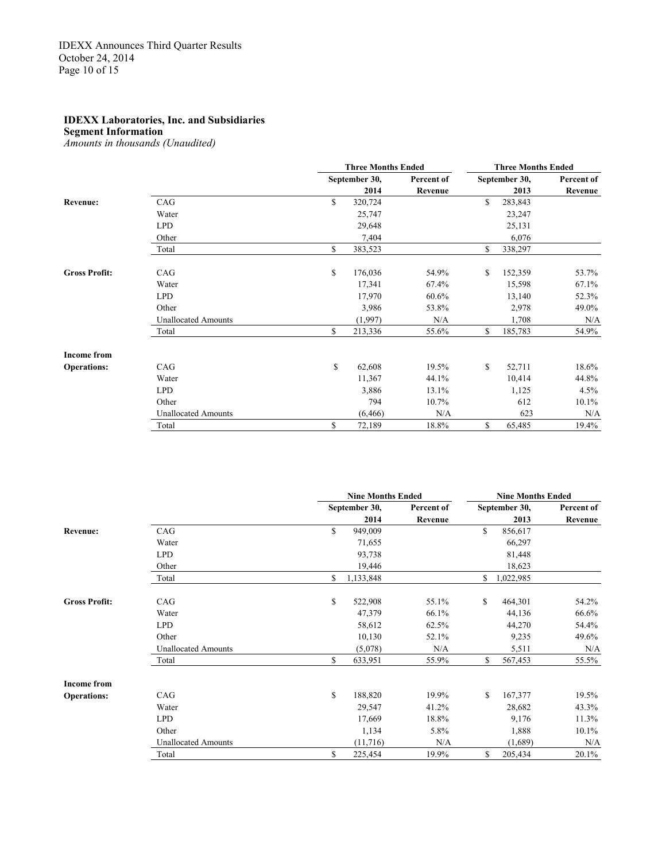#### **Segment Information**

*Amounts in thousands (Unaudited)*

|                             |                            | <b>Three Months Ended</b> |            | <b>Three Months Ended</b> |               |            |  |
|-----------------------------|----------------------------|---------------------------|------------|---------------------------|---------------|------------|--|
|                             |                            | September 30,             | Percent of |                           | September 30, | Percent of |  |
|                             |                            | 2014                      | Revenue    |                           | 2013          | Revenue    |  |
| Revenue:                    | CAG                        | \$<br>320,724             |            | \$                        | 283,843       |            |  |
|                             | Water                      | 25,747                    |            |                           | 23,247        |            |  |
|                             | <b>LPD</b>                 | 29,648                    |            |                           | 25,131        |            |  |
|                             | Other                      | 7,404                     |            |                           | 6,076         |            |  |
|                             | Total                      | \$<br>383,523             |            | \$                        | 338,297       |            |  |
| CAG<br><b>Gross Profit:</b> |                            | \$<br>176,036             | 54.9%      | \$                        | 152,359       | 53.7%      |  |
|                             | Water                      | 17,341                    | 67.4%      |                           | 15,598        | 67.1%      |  |
|                             | <b>LPD</b>                 | 17,970                    | 60.6%      |                           | 13,140        | 52.3%      |  |
|                             | Other                      | 3,986                     | 53.8%      |                           | 2,978         | 49.0%      |  |
|                             | <b>Unallocated Amounts</b> | (1,997)                   | N/A        |                           | 1,708         | N/A        |  |
|                             | Total                      | \$<br>213,336             | 55.6%      | \$                        | 185,783       | 54.9%      |  |
| <b>Income from</b>          |                            |                           |            |                           |               |            |  |
| <b>Operations:</b>          | CAG                        | \$<br>62,608              | 19.5%      | \$                        | 52,711        | 18.6%      |  |
|                             | Water                      | 11,367                    | 44.1%      |                           | 10,414        | 44.8%      |  |
|                             | <b>LPD</b>                 | 3,886                     | 13.1%      |                           | 1,125         | 4.5%       |  |
|                             | Other                      | 794                       | 10.7%      |                           | 612           | 10.1%      |  |
|                             | <b>Unallocated Amounts</b> | (6, 466)                  | N/A        |                           | 623           | N/A        |  |
|                             | Total                      | \$<br>72,189              | 18.8%      | \$                        | 65,485        | 19.4%      |  |

|                      |                            |    | <b>Nine Months Ended</b> |            |              | <b>Nine Months Ended</b> |            |
|----------------------|----------------------------|----|--------------------------|------------|--------------|--------------------------|------------|
|                      |                            |    | September 30,            | Percent of |              | September 30,            | Percent of |
|                      |                            |    | 2014                     | Revenue    |              | 2013                     | Revenue    |
| <b>Revenue:</b>      | CAG                        | \$ | 949,009                  |            | S            | 856,617                  |            |
|                      | Water                      |    | 71,655                   |            |              | 66,297                   |            |
|                      | <b>LPD</b>                 |    | 93,738                   |            |              | 81,448                   |            |
|                      | Other                      |    | 19,446                   |            |              | 18,623                   |            |
|                      | Total                      | \$ | 1,133,848                |            | \$           | 1,022,985                |            |
| <b>Gross Profit:</b> | CAG                        | \$ | 522,908                  | 55.1%      | $\mathbb{S}$ | 464,301                  | 54.2%      |
|                      | Water                      |    | 47,379                   | 66.1%      |              | 44,136                   | 66.6%      |
|                      | <b>LPD</b>                 |    | 58,612                   | 62.5%      |              | 44,270                   | 54.4%      |
|                      | Other                      |    | 10,130                   | 52.1%      |              | 9,235                    | 49.6%      |
|                      | <b>Unallocated Amounts</b> |    | (5,078)                  | N/A        |              | 5,511                    | N/A        |
|                      | Total                      | \$ | 633,951                  | 55.9%      | \$           | 567,453                  | 55.5%      |
| <b>Income from</b>   |                            |    |                          |            |              |                          |            |
| <b>Operations:</b>   | CAG                        | \$ | 188,820                  | 19.9%      | \$           | 167,377                  | 19.5%      |
|                      | Water                      |    | 29,547                   | 41.2%      |              | 28,682                   | 43.3%      |
|                      | <b>LPD</b>                 |    | 17,669                   | 18.8%      |              | 9,176                    | 11.3%      |
|                      | Other                      |    | 1,134                    | 5.8%       |              | 1,888                    | 10.1%      |
|                      | <b>Unallocated Amounts</b> |    | (11,716)                 | N/A        |              | (1,689)                  | N/A        |
|                      | Total                      | S  | 225,454                  | 19.9%      | \$           | 205,434                  | 20.1%      |
|                      |                            |    |                          |            |              |                          |            |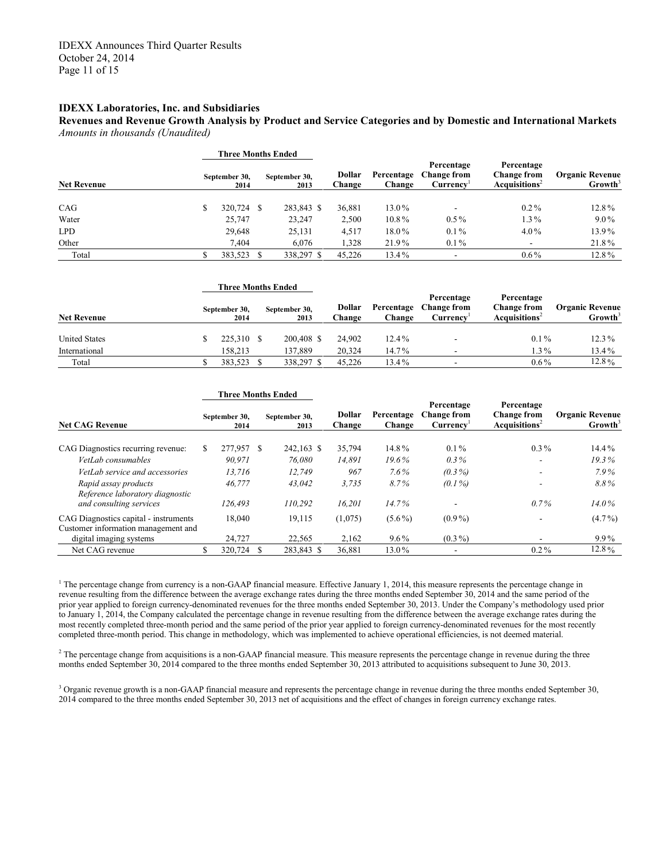**Revenues and Revenue Growth Analysis by Product and Service Categories and by Domestic and International Markets** *Amounts in thousands (Unaudited)*

|                    | Three Months Ended    |                       |                  |                      |                                              |                                                                 |                                               |
|--------------------|-----------------------|-----------------------|------------------|----------------------|----------------------------------------------|-----------------------------------------------------------------|-----------------------------------------------|
| <b>Net Revenue</b> | September 30,<br>2014 | September 30,<br>2013 | Dollar<br>Change | Percentage<br>Change | Percentage<br><b>Change from</b><br>Currency | Percentage<br><b>Change from</b><br>Acau is itions <sup>2</sup> | <b>Organic Revenue</b><br>Growth <sup>3</sup> |
| CAG                | 320,724 \$            | 283,843 \$            | 36,881           | 13.0%                | -                                            | $0.2\%$                                                         | 12.8%                                         |
| Water              | 25,747                | 23,247                | 2,500            | 10.8%                | $0.5\%$                                      | $1.3\%$                                                         | $9.0\%$                                       |
| <b>LPD</b>         | 29,648                | 25,131                | 4,517            | 18.0%                | $0.1\%$                                      | $4.0\%$                                                         | 13.9%                                         |
| Other              | 7.404                 | 6.076                 | 1,328            | 21.9%                | $0.1\%$                                      | $\overline{\phantom{a}}$                                        | 21.8%                                         |
| Total              | 383,523               | 338,297 \$            | 45,226           | 13.4%                |                                              | $0.6\%$                                                         | 12.8%                                         |

|                      | <b>Three Months Ended</b> |                       |                  |                      |                                              |                                                               |                                               |
|----------------------|---------------------------|-----------------------|------------------|----------------------|----------------------------------------------|---------------------------------------------------------------|-----------------------------------------------|
| <b>Net Revenue</b>   | September 30,<br>2014     | September 30,<br>2013 | Dollar<br>Change | Percentage<br>Change | Percentage<br><b>Change from</b><br>Currencv | Percentage<br><b>Change from</b><br>Acquisitions <sup>2</sup> | <b>Organic Revenue</b><br>Growth <sup>3</sup> |
| <b>United States</b> | 225,310 \$                | 200.408 \$            | 24,902           | $12.4\%$             | $\overline{\phantom{a}}$                     | $0.1\%$                                                       | $12.3\%$                                      |
| International        | 158.213                   | 137.889               | 20.324           | $14.7\%$             | $\overline{\phantom{a}}$                     | $1.3\%$                                                       | 13.4%                                         |
| Total                | 383.523                   | 338,297 \$            | 45.226           | 13.4%                | -                                            | $0.6\%$                                                       | 12.8%                                         |

|                                                                              |  | <b>Three Months Ended</b> |  |                       |                  |                      |                                              |                                                               |                                               |  |
|------------------------------------------------------------------------------|--|---------------------------|--|-----------------------|------------------|----------------------|----------------------------------------------|---------------------------------------------------------------|-----------------------------------------------|--|
| <b>Net CAG Revenue</b>                                                       |  | September 30,<br>2014     |  | September 30,<br>2013 | Dollar<br>Change | Percentage<br>Change | Percentage<br><b>Change from</b><br>Currency | Percentage<br><b>Change from</b><br>Acquisitions <sup>2</sup> | <b>Organic Revenue</b><br>Growth <sup>3</sup> |  |
| CAG Diagnostics recurring revenue:                                           |  | 277,957 \$                |  | 242,163 \$            | 35,794           | 14.8%                | $0.1\%$                                      | $0.3\%$                                                       | 14.4%                                         |  |
| VetLab consumables                                                           |  | 90.971                    |  | 76.080                | 14.891           | 19.6%                | $0.3\%$                                      | $\overline{\phantom{a}}$                                      | 19.3%                                         |  |
| VetLab service and accessories                                               |  | 13,716                    |  | 12,749                | 967              | $7.6\%$              | $(0.3\%)$                                    | ۰.                                                            | 7.9%                                          |  |
| Rapid assay products<br>Reference laboratory diagnostic                      |  | 46,777                    |  | 43,042                | 3.735            | $8.7\%$              | $(0.1\%)$                                    | ۰                                                             | 8.8%                                          |  |
| and consulting services                                                      |  | 126.493                   |  | 110.292               | 16,201           | 14.7%                |                                              | $0.7\%$                                                       | $14.0\%$                                      |  |
| CAG Diagnostics capital - instruments<br>Customer information management and |  | 18,040                    |  | 19,115                | (1,075)          | $(5.6\%)$            | $(0.9\%)$                                    | ۰                                                             | $(4.7\%)$                                     |  |
| digital imaging systems                                                      |  | 24,727                    |  | 22,565                | 2,162            | $9.6\%$              | $(0.3\%)$                                    | ۰                                                             | $9.9\%$                                       |  |
| Net CAG revenue                                                              |  | 320,724                   |  | 283.843 \$            | 36,881           | 13.0%                |                                              | $0.2\%$                                                       | 12.8%                                         |  |

<sup>1</sup> The percentage change from currency is a non-GAAP financial measure. Effective January 1, 2014, this measure represents the percentage change in revenue resulting from the difference between the average exchange rates during the three months ended September 30, 2014 and the same period of the prior year applied to foreign currency-denominated revenues for the three months ended September 30, 2013. Under the Company's methodology used prior to January 1, 2014, the Company calculated the percentage change in revenue resulting from the difference between the average exchange rates during the most recently completed three-month period and the same period of the prior year applied to foreign currency-denominated revenues for the most recently completed three-month period. This change in methodology, which was implemented to achieve operational efficiencies, is not deemed material.

 $2$  The percentage change from acquisitions is a non-GAAP financial measure. This measure represents the percentage change in revenue during the three months ended September 30, 2014 compared to the three months ended September 30, 2013 attributed to acquisitions subsequent to June 30, 2013.

 $3$  Organic revenue growth is a non-GAAP financial measure and represents the percentage change in revenue during the three months ended September 30, 2014 compared to the three months ended September 30, 2013 net of acquisitions and the effect of changes in foreign currency exchange rates.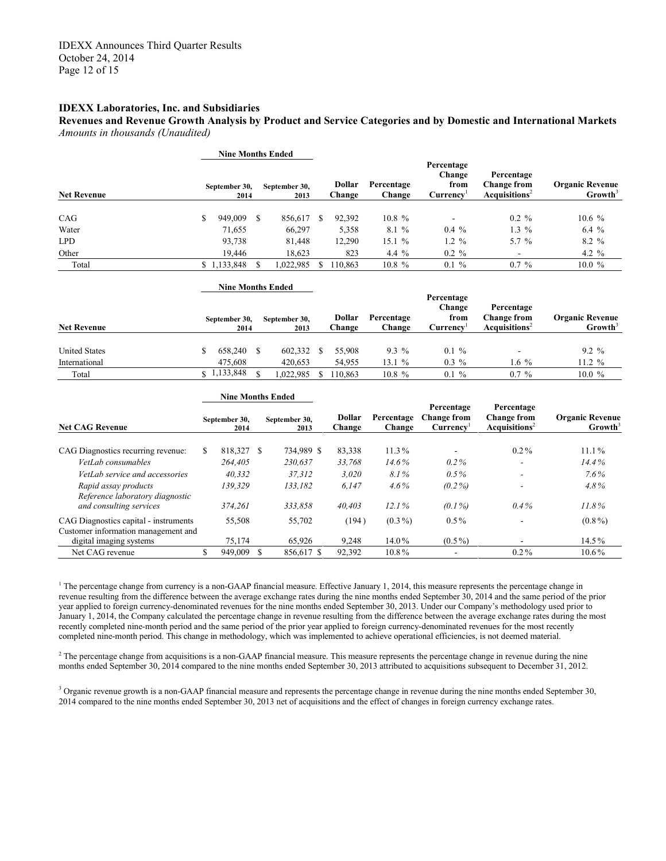**Revenues and Revenue Growth Analysis by Product and Service Categories and by Domestic and International Markets** *Amounts in thousands (Unaudited)*

|                                                                | <b>Nine Months Ended</b> |                          |               |                       |              |                         |                      |                                                           |                                                               |                                               |
|----------------------------------------------------------------|--------------------------|--------------------------|---------------|-----------------------|--------------|-------------------------|----------------------|-----------------------------------------------------------|---------------------------------------------------------------|-----------------------------------------------|
| <b>Net Revenue</b>                                             | September 30,<br>2014    |                          |               | September 30,<br>2013 |              | <b>Dollar</b><br>Change | Percentage<br>Change | Percentage<br>Change<br>from<br>Curreney <sup>1</sup>     | Percentage<br><b>Change from</b><br>Acquisitions <sup>2</sup> | <b>Organic Revenue</b><br>Growth <sup>3</sup> |
|                                                                |                          |                          |               |                       |              |                         |                      |                                                           |                                                               |                                               |
| CAG                                                            | S                        | 949,009                  | S             | 856,617 \$            |              | 92,392                  | $10.8 \%$            |                                                           | $0.2 \%$                                                      | 10.6%                                         |
| Water                                                          |                          | 71,655                   |               | 66,297                |              | 5,358                   | 8.1 %                | $0.4\%$                                                   | $1.3\%$                                                       | $6.4\%$                                       |
| <b>LPD</b>                                                     |                          | 93,738                   |               | 81,448                |              | 12,290                  | 15.1%                | $1.2 \%$                                                  | 5.7 %                                                         | 8.2 %                                         |
| Other                                                          |                          | 19,446                   |               | 18,623                |              | 823                     | 4.4 %                | $0.2 \%$                                                  | $\blacksquare$                                                | 4.2 $%$                                       |
| Total                                                          |                          | \$1,133,848              | <sup>\$</sup> | 1,022,985             | S            | 110.863                 | 10.8 %               | $0.1 \%$                                                  | $0.7 \%$                                                      | 10.0%                                         |
|                                                                |                          | <b>Nine Months Ended</b> |               |                       |              |                         |                      |                                                           |                                                               |                                               |
| <b>Net Revenue</b>                                             |                          | September 30,<br>2014    |               | September 30,<br>2013 |              | <b>Dollar</b><br>Change | Percentage<br>Change | Percentage<br>Change<br>from<br>Curreney <sup>1</sup>     | Percentage<br><b>Change from</b><br>Acquisitions <sup>2</sup> | <b>Organic Revenue</b><br>Growth <sup>3</sup> |
|                                                                |                          |                          |               |                       |              |                         |                      |                                                           |                                                               |                                               |
| <b>United States</b>                                           | \$                       | 658,240                  | <sup>\$</sup> | 602,332 \$            |              | 55,908                  | 9.3 %                | $0.1 \%$                                                  |                                                               | $9.2 \%$                                      |
| International                                                  |                          | 475,608                  |               | 420,653               |              | 54,955                  | 13.1%                | $0.3\%$                                                   | 1.6 $%$                                                       | $11.2 \%$                                     |
| Total                                                          |                          | \$1,133,848              | <sup>\$</sup> | 1,022,985             | $\mathbb{S}$ | 110,863                 | 10.8 %               | $0.1 \%$                                                  | $0.7 \%$                                                      | 10.0 %                                        |
|                                                                |                          | <b>Nine Months Ended</b> |               |                       |              |                         |                      |                                                           |                                                               |                                               |
| <b>Net CAG Revenue</b>                                         |                          | September 30,<br>2014    |               | September 30,<br>2013 |              | <b>Dollar</b><br>Change | Percentage<br>Change | Percentage<br><b>Change from</b><br>Currencv <sup>1</sup> | Percentage<br><b>Change from</b><br>Acquistions <sup>2</sup>  | <b>Organic Revenue</b><br>Growth <sup>3</sup> |
| CAG Diagnostics recurring revenue:                             | S                        | 818,327 \$               |               | 734,989 \$            |              | 83,338                  | 11.3%                | $\blacksquare$                                            | $0.2\%$                                                       | 11.1%                                         |
| VetLah consumables                                             |                          | 264,405                  |               | 230.637               |              | 33,768                  | 14.6%                | $0.2\%$                                                   |                                                               | 14.4%                                         |
| VetLab service and accessories                                 |                          | 40,332                   |               | 37,312                |              | 3,020                   | 8.1%                 | 0.5%                                                      |                                                               | $7.6\%$                                       |
| Rapid assay products                                           |                          | 139,329                  |               | 133,182               |              | 6,147                   | $4.6\%$              | $(0.2\%)$                                                 |                                                               | 4.8%                                          |
| Reference laboratory diagnostic<br>and consulting services     |                          | 374,261                  |               | 333,858               |              | 40,403                  | 12.1%                | $(0.1\%)$                                                 | 0.4%                                                          | 11.8%                                         |
| CAG Diagnostics capital - instruments                          |                          | 55,508                   |               | 55,702                |              | (194)                   | $(0.3\%)$            | $0.5\%$                                                   |                                                               | $(0.8\%)$                                     |
| Customer information management and<br>digital imaging systems |                          | 75,174                   |               | 65,926                |              | 9,248                   | 14.0%                | $(0.5\%)$                                                 |                                                               | 14.5%                                         |
| Net CAG revenue                                                | \$                       | 949.009                  | $\mathbf S$   | 856.617 \$            |              | 92.392                  | $10.8\%$             | $\blacksquare$                                            | $0.2\%$                                                       | 10.6%                                         |

<sup>1</sup> The percentage change from currency is a non-GAAP financial measure. Effective January 1, 2014, this measure represents the percentage change in revenue resulting from the difference between the average exchange rates during the nine months ended September 30, 2014 and the same period of the prior year applied to foreign currency-denominated revenues for the nine months ended September 30, 2013. Under our Company's methodology used prior to January 1, 2014, the Company calculated the percentage change in revenue resulting from the difference between the average exchange rates during the most recently completed nine-month period and the same period of the prior year applied to foreign currency-denominated revenues for the most recently completed nine-month period. This change in methodology, which was implemented to achieve operational efficiencies, is not deemed material.

 $2$  The percentage change from acquisitions is a non-GAAP financial measure. This measure represents the percentage change in revenue during the nine months ended September 30, 2014 compared to the nine months ended September 30, 2013 attributed to acquisitions subsequent to December 31, 2012.

<sup>3</sup> Organic revenue growth is a non-GAAP financial measure and represents the percentage change in revenue during the nine months ended September 30, 2014 compared to the nine months ended September 30, 2013 net of acquisitions and the effect of changes in foreign currency exchange rates.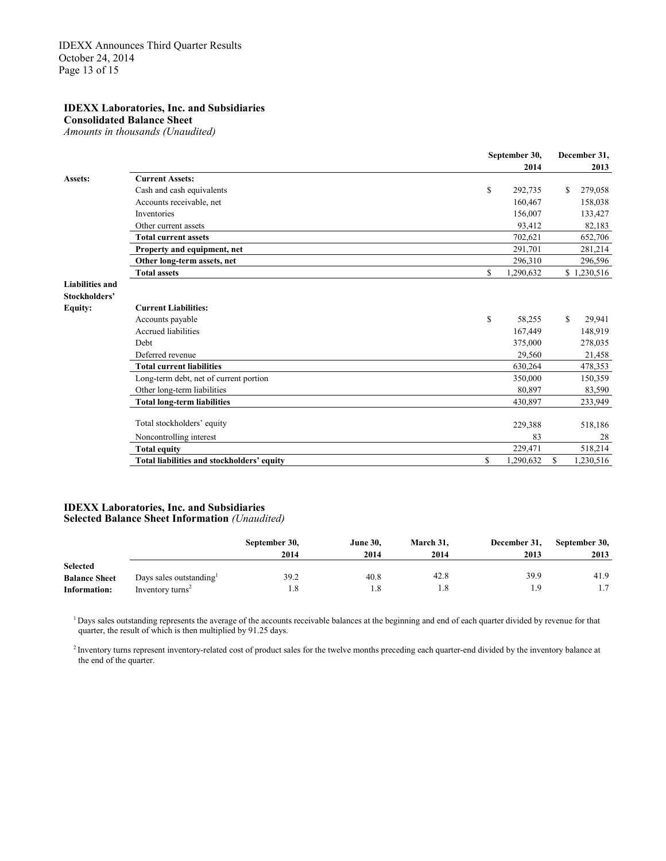**Consolidated Balance Sheet** *Amounts in thousands (Unaudited)*

**September 30, December 31, 2014 2013 Assets: Current Assets:** Cash and cash equivalents **and cash equivalents b** 292,735 \$ 279,058 Accounts receivable, net 160,467 158,038 Inventories 156,007 133,427 Other current assets 82,183 **Total current assets** 52,706 **Property and equipment, net** 291,701 281,214 **Other long-term assets, net** 296,596 296,596 296,596 296,596 296,596 296,596 206,596 206,596 206,596 206,596 207 **Total assets** \$ 1,230,516 **Liabilities and Stockholders' Equity: Current Liabilities:** Accounts payable  $\qquad \qquad$  58,255 \$ 29,941 Accrued liabilities 167,449 148,919<br>
Debt 375,000 278,035 Debt 375,000 278,035 Deferred revenue 29,560 21,458 **Total current liabilities** 630,264 478,353 Long-term debt, net of current portion 350,000 150,359 Other long-term liabilities 80,897 83,590 **Total long-term liabilities** 430,897 233,949 Total stockholders' equity and the stockholders' equity and the stockholders' equity and the stockholders' equity and the stockholders' equity and the stockholders' equity and the stockholders' equity and the stockholders' Noncontrolling interest 83 28<br> **1991 129,471** 229,471 518,214 **Total equity** 229,471 518,214 **Total liabilities and stockholders' equity** \$ 1,290,632 \$ 1,230,516

#### **IDEXX Laboratories, Inc. and Subsidiaries Selected Balance Sheet Information** *(Unaudited)*

|                      |                              | September 30,<br>2014 | <b>June 30.</b><br>2014 | March 31,<br>2014 | December 31,<br>2013 | September 30,<br>2013 |
|----------------------|------------------------------|-----------------------|-------------------------|-------------------|----------------------|-----------------------|
| <b>Selected</b>      |                              |                       |                         |                   |                      |                       |
| <b>Balance Sheet</b> | Days sales outstanding       | 39.2                  | 40.8                    | 42.8              | 39.9                 | 41.9                  |
| Information:         | Inventory turns <sup>2</sup> | 1.8                   |                         | 1.8               | - q                  |                       |

<sup>1</sup> Days sales outstanding represents the average of the accounts receivable balances at the beginning and end of each quarter divided by revenue for that quarter, the result of which is then multiplied by 91.25 days.

<sup>2</sup> Inventory turns represent inventory-related cost of product sales for the twelve months preceding each quarter-end divided by the inventory balance at the end of the quarter.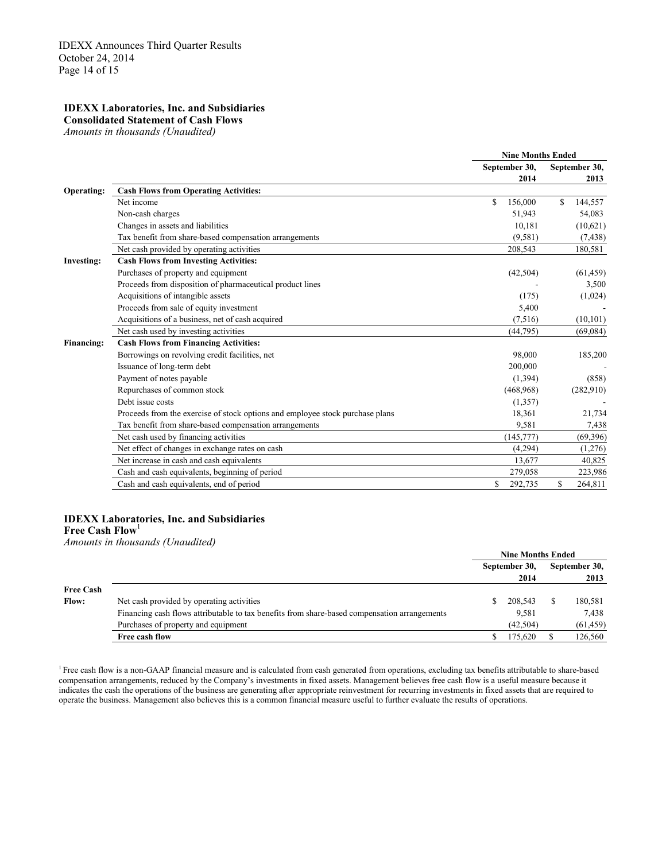#### **IDEXX Laboratories, Inc. and Subsidiaries Consolidated Statement of Cash Flows**

*Amounts in thousands (Unaudited)*

|                   |                                                                               | <b>Nine Months Ended</b> |                |  |  |
|-------------------|-------------------------------------------------------------------------------|--------------------------|----------------|--|--|
|                   |                                                                               | September 30,            | September 30,  |  |  |
|                   |                                                                               | 2014                     | 2013           |  |  |
| Operating:        | <b>Cash Flows from Operating Activities:</b>                                  |                          |                |  |  |
|                   | Net income                                                                    | $\mathbb{S}$<br>156,000  | 144,557<br>\$. |  |  |
|                   | Non-cash charges                                                              | 51,943                   | 54,083         |  |  |
|                   | Changes in assets and liabilities                                             | 10,181                   | (10,621)       |  |  |
|                   | Tax benefit from share-based compensation arrangements                        | (9,581)                  | (7, 438)       |  |  |
|                   | Net cash provided by operating activities                                     | 208,543                  | 180,581        |  |  |
| <b>Investing:</b> | <b>Cash Flows from Investing Activities:</b>                                  |                          |                |  |  |
|                   | Purchases of property and equipment                                           | (42, 504)                | (61, 459)      |  |  |
|                   | Proceeds from disposition of pharmaceutical product lines                     |                          | 3,500          |  |  |
|                   | Acquisitions of intangible assets                                             | (175)                    | (1,024)        |  |  |
|                   | Proceeds from sale of equity investment                                       | 5,400                    |                |  |  |
|                   | Acquisitions of a business, net of cash acquired                              | (7,516)                  | (10, 101)      |  |  |
|                   | Net cash used by investing activities                                         | (44, 795)                | (69,084)       |  |  |
| <b>Financing:</b> | <b>Cash Flows from Financing Activities:</b>                                  |                          |                |  |  |
|                   | Borrowings on revolving credit facilities, net                                | 98,000                   | 185,200        |  |  |
|                   | Issuance of long-term debt                                                    | 200,000                  |                |  |  |
|                   | Payment of notes payable                                                      | (1, 394)                 | (858)          |  |  |
|                   | Repurchases of common stock                                                   | (468,968)                | (282,910)      |  |  |
|                   | Debt issue costs                                                              | (1,357)                  |                |  |  |
|                   | Proceeds from the exercise of stock options and employee stock purchase plans | 18,361                   | 21,734         |  |  |
|                   | Tax benefit from share-based compensation arrangements                        | 9,581                    | 7,438          |  |  |
|                   | Net cash used by financing activities                                         | (145, 777)               | (69,396)       |  |  |
|                   | Net effect of changes in exchange rates on cash                               | (4,294)                  | (1,276)        |  |  |
|                   | Net increase in cash and cash equivalents                                     | 13,677                   | 40,825         |  |  |
|                   | Cash and cash equivalents, beginning of period                                | 279,058                  | 223,986        |  |  |
|                   | Cash and cash equivalents, end of period                                      | S<br>292,735             | \$<br>264,811  |  |  |
|                   |                                                                               |                          |                |  |  |

# **IDEXX Laboratories, Inc. and Subsidiaries**

**Free Cash Flow**<sup>1</sup>

*Amounts in thousands (Unaudited)*

|                  |                                                                                              | <b>Nine Months Ended</b> |          |  |               |  |
|------------------|----------------------------------------------------------------------------------------------|--------------------------|----------|--|---------------|--|
|                  |                                                                                              | September 30,            |          |  | September 30, |  |
|                  |                                                                                              |                          | 2014     |  | 2013          |  |
| <b>Free Cash</b> |                                                                                              |                          |          |  |               |  |
| <b>Flow:</b>     | Net cash provided by operating activities                                                    |                          | 208,543  |  | 180,581       |  |
|                  | Financing cash flows attributable to tax benefits from share-based compensation arrangements |                          | 9.581    |  | 7.438         |  |
|                  | Purchases of property and equipment                                                          |                          | (42.504) |  | (61, 459)     |  |
|                  | Free cash flow                                                                               |                          | 175.620  |  | 126,560       |  |

<sup>1</sup> Free cash flow is a non-GAAP financial measure and is calculated from cash generated from operations, excluding tax benefits attributable to share-based compensation arrangements, reduced by the Company's investments in fixed assets. Management believes free cash flow is a useful measure because it indicates the cash the operations of the business are generating after appropriate reinvestment for recurring investments in fixed assets that are required to operate the business. Management also believes this is a common financial measure useful to further evaluate the results of operations.